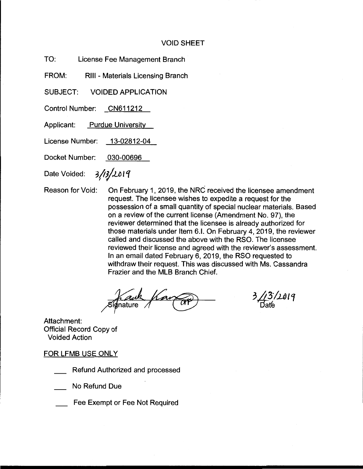## VOID SHEET

TO: License Fee Management Branch

FROM: RIII - Materials Licensing Branch

SUBJECT: VOIDED APPLICATION

Control Number: CN611212

Applicant: Purdue University

License Number: 13-02812-04

Docket Number: 030-00696

Date Voided: 3/13/2019

Reason for Void: On February 1, 2019, the NRC received the licensee amendment request. The licensee wishes to expedite a request for the possession of a small quantity of special nuclear materials. Based on a review of the current license (Amendment No. 97), the reviewer determined that the licensee is already authorized for those materials under Item 6.1. On February 4, 2019, the reviewer called and discussed the above with the RSO. The licensee reviewed their license and agreed with the reviewer's assessment. In an email dated February 6, 2019, the RSO requested to withdraw their request. This was discussed with Ms. Cassandra Frazier and the MLB Branch Chief.

 $3/13/1019$ 

Attachment: Official Record Copy of Voided Action

FOR LFMB USE ONLY

Refund Authorized and processed

No Refund Due

Fee Exempt or Fee Not Required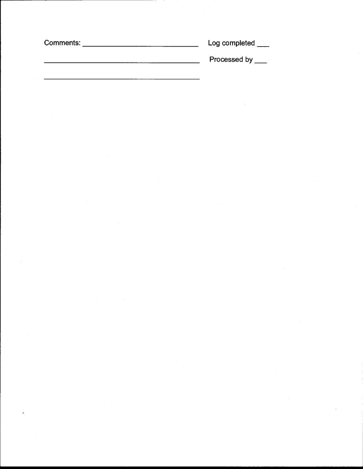| Comments: | Log completed |
|-----------|---------------|
|           | Processed by  |

 $\label{eq:2.1} \frac{1}{\sqrt{2}}\int_{0}^{\infty}\frac{1}{\sqrt{2\pi}}\left(\frac{1}{\sqrt{2\pi}}\right)^{2\alpha} \frac{1}{\sqrt{2\pi}}\int_{0}^{\infty}\frac{1}{\sqrt{2\pi}}\left(\frac{1}{\sqrt{2\pi}}\right)^{\alpha} \frac{1}{\sqrt{2\pi}}\frac{1}{\sqrt{2\pi}}\int_{0}^{\infty}\frac{1}{\sqrt{2\pi}}\frac{1}{\sqrt{2\pi}}\frac{1}{\sqrt{2\pi}}\frac{1}{\sqrt{2\pi}}\frac{1}{\sqrt{2\pi}}\int_{0}^{\infty}\frac{$ 

 $\frac{1}{2}$